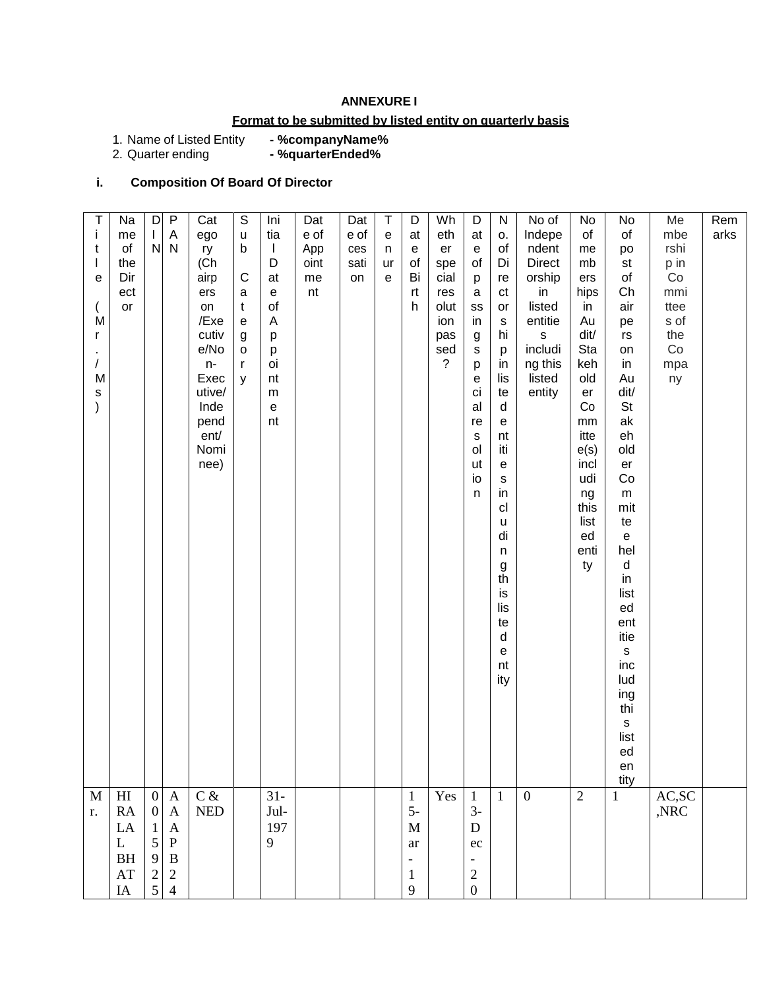### **ANNEXURE I**

## **Format to be submitted by listed entity on quarterly basis**

1. Name of Listed Entity **- %companyName%**

2. Quarter ending **- %quarterEnded%**

## **i. Composition Of Board Of Director**

| Τ                            | Na                         | D              | P                | Cat            | $\overline{S}$   | Ini                                    | Dat  | Dat  | $\mathsf T$                                | D                        | Wh          | D                        | ${\sf N}$    | No of            | No             | No                                         | Me             | Rem  |
|------------------------------|----------------------------|----------------|------------------|----------------|------------------|----------------------------------------|------|------|--------------------------------------------|--------------------------|-------------|--------------------------|--------------|------------------|----------------|--------------------------------------------|----------------|------|
| Ť                            | me                         | $\mathbf{I}$   | A                | ego            | $\sf u$          | tia                                    | e of | e of | $\mathsf{e}% _{0}\left( \mathsf{e}\right)$ | at                       | eth         | at                       | О.           | Indepe           | of             | $\circ f$                                  | mbe            | arks |
| t                            | o <sub>f</sub>             | ${\sf N}$      | $\mathsf{N}$     | ry             | b                | $\mathbf{I}$                           | App  | ces  | n                                          | e                        | er          | ${\bf e}$                | of           | ndent            | me             | po                                         | rshi           |      |
| $\mathbf{I}$                 | the                        |                |                  | (Ch            |                  | D                                      | oint | sati | ur                                         | of                       | spe         | of                       | Di           | Direct           | mb             | st                                         | p in           |      |
| е                            | Dir                        |                |                  | airp           | $\mathsf C$      | at                                     | me   | on   | e                                          | Bi                       | cial        | p                        | re           | orship           | ers            | of                                         | Co             |      |
|                              | ect                        |                |                  | ers            | a                | $\mathsf{e}% _{t}\left( t\right)$      | nt   |      |                                            | rt                       | res         | $\mathbf a$              | ct           | in               | hips           | Ch                                         | mmi            |      |
|                              | $\mathsf{or}\,$            |                |                  | on             | $\mathsf{t}$     | of                                     |      |      |                                            | h                        | olut        | SS                       | or           | listed           | in             | air                                        | ttee           |      |
| M                            |                            |                |                  | /Exe           | e                | A                                      |      |      |                                            |                          | ion         | in                       | s            | entitie          | Au             | pe                                         | s of           |      |
| r                            |                            |                |                  | cutiv          | $\boldsymbol{g}$ | p                                      |      |      |                                            |                          | pas         | $\boldsymbol{g}$         | hi           | s                | dit/           | rs                                         | the            |      |
|                              |                            |                |                  | e/No           | $\mathsf{o}$     | p                                      |      |      |                                            |                          | sed         | ${\tt S}$                | p            | includi          | Sta            | on                                         | Co             |      |
| $\sqrt{2}$                   |                            |                |                  | n-             | r                | oi                                     |      |      |                                            |                          | $\tilde{?}$ | p                        | in           | ng this          | keh            | in                                         | mpa            |      |
| M                            |                            |                |                  | Exec<br>utive/ | y                | nt                                     |      |      |                                            |                          |             | е<br>ci                  | lis          | listed           | old            | Au<br>dit/                                 | ny             |      |
| $\mathbb S$<br>$\mathcal{C}$ |                            |                |                  | Inde           |                  | m<br>$\mathsf{e}% _{t}\left( t\right)$ |      |      |                                            |                          |             | al                       | te<br>d      | entity           | er<br>Co       | <b>St</b>                                  |                |      |
|                              |                            |                |                  | pend           |                  | nt                                     |      |      |                                            |                          |             | re                       | e            |                  | mm             | ak                                         |                |      |
|                              |                            |                |                  | ent/           |                  |                                        |      |      |                                            |                          |             | ${\tt S}$                | nt           |                  | itte           | eh                                         |                |      |
|                              |                            |                |                  | Nomi           |                  |                                        |      |      |                                            |                          |             | ol                       | iti          |                  | e(s)           | old                                        |                |      |
|                              |                            |                |                  | nee)           |                  |                                        |      |      |                                            |                          |             | ut                       | ${\bf e}$    |                  | incl           | er                                         |                |      |
|                              |                            |                |                  |                |                  |                                        |      |      |                                            |                          |             | io                       | s            |                  | udi            | Co                                         |                |      |
|                              |                            |                |                  |                |                  |                                        |      |      |                                            |                          |             | $\mathsf n$              | in           |                  | ng             | m                                          |                |      |
|                              |                            |                |                  |                |                  |                                        |      |      |                                            |                          |             |                          | cl           |                  | this           | mit                                        |                |      |
|                              |                            |                |                  |                |                  |                                        |      |      |                                            |                          |             |                          | $\sf u$      |                  | list           | te                                         |                |      |
|                              |                            |                |                  |                |                  |                                        |      |      |                                            |                          |             |                          | di           |                  | ed             | $\mathsf{e}% _{0}\left( \mathsf{e}\right)$ |                |      |
|                              |                            |                |                  |                |                  |                                        |      |      |                                            |                          |             |                          | $\sf n$      |                  | enti           | hel                                        |                |      |
|                              |                            |                |                  |                |                  |                                        |      |      |                                            |                          |             |                          | g            |                  | ty             | d                                          |                |      |
|                              |                            |                |                  |                |                  |                                        |      |      |                                            |                          |             |                          | th           |                  |                | in                                         |                |      |
|                              |                            |                |                  |                |                  |                                        |      |      |                                            |                          |             |                          | is           |                  |                | list                                       |                |      |
|                              |                            |                |                  |                |                  |                                        |      |      |                                            |                          |             |                          | lis<br>te    |                  |                | ed<br>ent                                  |                |      |
|                              |                            |                |                  |                |                  |                                        |      |      |                                            |                          |             |                          | $\sf d$      |                  |                | itie                                       |                |      |
|                              |                            |                |                  |                |                  |                                        |      |      |                                            |                          |             |                          | е            |                  |                | $\mathsf{s}$                               |                |      |
|                              |                            |                |                  |                |                  |                                        |      |      |                                            |                          |             |                          | nt           |                  |                | inc                                        |                |      |
|                              |                            |                |                  |                |                  |                                        |      |      |                                            |                          |             |                          | ity          |                  |                | lud                                        |                |      |
|                              |                            |                |                  |                |                  |                                        |      |      |                                            |                          |             |                          |              |                  |                | ing                                        |                |      |
|                              |                            |                |                  |                |                  |                                        |      |      |                                            |                          |             |                          |              |                  |                | thi                                        |                |      |
|                              |                            |                |                  |                |                  |                                        |      |      |                                            |                          |             |                          |              |                  |                | $\mathsf{s}$                               |                |      |
|                              |                            |                |                  |                |                  |                                        |      |      |                                            |                          |             |                          |              |                  |                | list                                       |                |      |
|                              |                            |                |                  |                |                  |                                        |      |      |                                            |                          |             |                          |              |                  |                | ed                                         |                |      |
|                              |                            |                |                  |                |                  |                                        |      |      |                                            |                          |             |                          |              |                  |                | en                                         |                |      |
|                              |                            |                |                  |                |                  |                                        |      |      |                                            |                          |             |                          |              |                  |                | tity                                       |                |      |
| M                            | $\mathop{\rm HI}\nolimits$ | $\overline{0}$ | $\mathbf{A}$     | $C\,\&$        |                  | $31 -$                                 |      |      |                                            | $\mathbf{1}$             | Yes         | $\mathbf{1}$             | $\mathbf{1}$ | $\boldsymbol{0}$ | $\overline{2}$ | 1                                          | AC, SC         |      |
| r.                           | RA                         | $\overline{0}$ | $\mathbf{A}$     | <b>NED</b>     |                  | Jul-                                   |      |      |                                            | $5-$                     |             | $3-$                     |              |                  |                |                                            | $,\!{\rm NRC}$ |      |
|                              | LA                         | $\mathbf{1}$   | $\mathbf{A}$     |                |                  | 197                                    |      |      |                                            | M                        |             | D                        |              |                  |                |                                            |                |      |
|                              | L                          | $\mathfrak{S}$ | ${\bf P}$        |                |                  | 9                                      |      |      |                                            | ar                       |             | $\rm ec$                 |              |                  |                |                                            |                |      |
|                              | <b>BH</b>                  | 9              | $\boldsymbol{B}$ |                |                  |                                        |      |      |                                            | $\overline{\phantom{0}}$ |             | $\overline{\phantom{0}}$ |              |                  |                |                                            |                |      |
|                              | $\mathbf{A}\mathbf{T}$     | $\sqrt{2}$     | $\overline{2}$   |                |                  |                                        |      |      |                                            | $\mathbf{1}$             |             | $\sqrt{2}$               |              |                  |                |                                            |                |      |
|                              | IA                         | 5              | $\overline{4}$   |                |                  |                                        |      |      |                                            | 9                        |             | $\boldsymbol{0}$         |              |                  |                |                                            |                |      |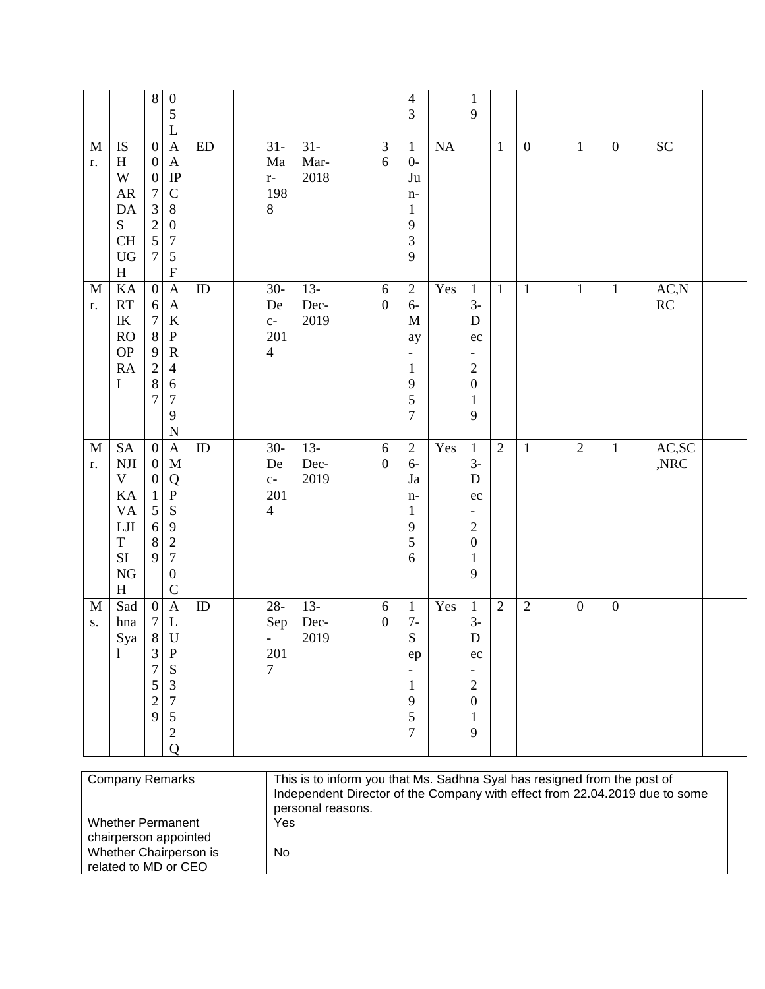|                             |                                                                                                                 | $\,8\,$                                                                                                                    | $\boldsymbol{0}$<br>$\mathfrak s$<br>L                                                                                                                                |            |                                                                        |                        |                                  | $\overline{4}$<br>3                                                                                   |                  | $\mathbf{1}$<br>9                                                                                           |              |                  |                  |                  |                         |  |
|-----------------------------|-----------------------------------------------------------------------------------------------------------------|----------------------------------------------------------------------------------------------------------------------------|-----------------------------------------------------------------------------------------------------------------------------------------------------------------------|------------|------------------------------------------------------------------------|------------------------|----------------------------------|-------------------------------------------------------------------------------------------------------|------------------|-------------------------------------------------------------------------------------------------------------|--------------|------------------|------------------|------------------|-------------------------|--|
| $\mathbf M$<br>r.           | <b>IS</b><br>H<br>W<br>${\sf AR}$<br>$\mathbf{DA}$<br>${\bf S}$<br><b>CH</b><br>${\rm U}{\rm G}$<br>$\mathbf H$ | $\boldsymbol{0}$<br>$\boldsymbol{0}$<br>$\boldsymbol{0}$<br>$\boldsymbol{7}$<br>3<br>$\overline{c}$<br>5<br>$\overline{7}$ | $\mathbf{A}$<br>$\boldsymbol{\mathsf{A}}$<br>$\rm IP$<br>$\mathcal{C}$<br>$8\,$<br>$\boldsymbol{0}$<br>$\boldsymbol{7}$<br>$\mathfrak s$<br>$\boldsymbol{\mathrm{F}}$ | ${\rm ED}$ | $31 -$<br>Ma<br>$r-$<br>198<br>$8\,$                                   | $31 -$<br>Mar-<br>2018 | $\ensuremath{\mathfrak{Z}}$<br>6 | $\mathbf{1}$<br>$0-$<br>Ju<br>$n-$<br>$\mathbf{1}$<br>$\overline{9}$<br>3<br>9                        | NA               |                                                                                                             | $\mathbf{1}$ | $\boldsymbol{0}$ | $\mathbf{1}$     | $\boldsymbol{0}$ | $\overline{SC}$         |  |
| $\mathbf M$<br>r.           | KA<br>RT<br>$\ensuremath{\textup{IK}}\xspace$<br>RO<br><b>OP</b><br><b>RA</b><br>$\bf I$                        | $\overline{0}$<br>6<br>$\boldsymbol{7}$<br>$\,8\,$<br>$\overline{9}$<br>$\overline{2}$<br>$\,8\,$<br>$\overline{7}$        | $\mathbf{A}$<br>$\mathbf{A}$<br>$\bf K$<br>$\mathbf P$<br>${\bf R}$<br>$\overline{4}$<br>6<br>$\boldsymbol{7}$<br>9<br>$\mathbf N$                                    | ${\rm ID}$ | $30-$<br>De<br>$C-$<br>201<br>$\overline{4}$                           | $13-$<br>Dec-<br>2019  | $\sqrt{6}$<br>$\boldsymbol{0}$   | $\sqrt{2}$<br>$6-$<br>$\mathbf M$<br>ay<br>$\blacksquare$<br>$\mathbf{1}$<br>9<br>5<br>$\overline{7}$ | $\overline{Yes}$ | $\mathbf{1}$<br>$3-$<br>$\mathbf D$<br>ec<br>$\sqrt{2}$<br>$\boldsymbol{0}$<br>$\mathbf{1}$<br>$\mathbf{9}$ | $\mathbf{1}$ | $1\,$            | $\overline{1}$   | $\overline{1}$   | AC, N<br>RC             |  |
| M<br>r.                     | <b>SA</b><br>$\rm NJI$<br>V<br>KA<br><b>VA</b><br>$_{\rm LJI}$<br>$\mathbf T$<br>SI<br>${\rm NG}$<br>H          | $\boldsymbol{0}$<br>$\boldsymbol{0}$<br>$\boldsymbol{0}$<br>$\mathbf{1}$<br>$\sqrt{5}$<br>$\sqrt{6}$<br>$\,8\,$<br>9       | $\mathbf{A}$<br>M<br>Q<br>${\bf P}$<br>${\bf S}$<br>9<br>$\sqrt{2}$<br>$\boldsymbol{7}$<br>$\boldsymbol{0}$<br>$\mathsf{C}$                                           | ID         | $30-$<br>De<br>$C-$<br>201<br>$\overline{4}$                           | $13 -$<br>Dec-<br>2019 | $\sqrt{6}$<br>$\boldsymbol{0}$   | $\sqrt{2}$<br>$6-$<br>$\mathrm{Ja}$<br>$n-$<br>$\mathbf{1}$<br>9<br>5<br>6                            | Yes              | $\mathbf{1}$<br>$3-$<br>$\mathbf D$<br>ec<br>$\overline{c}$<br>$\boldsymbol{0}$<br>$\mathbf{1}$<br>9        | $\sqrt{2}$   | $\mathbf{1}$     | $\overline{2}$   | $\mathbf{1}$     | AC,SC<br>$,\!{\rm NRC}$ |  |
| $\mathbf{M}$<br>${\bf S}$ . | Sad<br>hna<br>Sya<br>$\mathbf{1}$                                                                               | $\boldsymbol{0}$<br>$\tau$<br>$8\,$<br>3<br>$\overline{7}$<br>5<br>$\overline{c}$<br>9                                     | $\mathbf{A}$<br>L<br>$\mathbf U$<br>$\mathbf P$<br>${\bf S}$<br>$\mathfrak{Z}$<br>$\boldsymbol{7}$<br>$\sqrt{5}$<br>$\sqrt{2}$<br>Q                                   | ID         | $28 -$<br>Sep<br>$\qquad \qquad \blacksquare$<br>201<br>$\overline{7}$ | $13-$<br>Dec-<br>2019  | $\sqrt{6}$<br>$\boldsymbol{0}$   | $\mathbf{1}$<br>$7-$<br>${\bf S}$<br>ep<br>$\mathbf{1}$<br>9<br>5<br>$\overline{7}$                   | Yes              | $\mathbf{1}$<br>$3-$<br>${\bf D}$<br>ec<br>$\sqrt{2}$<br>$\boldsymbol{0}$<br>$\mathbf{1}$<br>$\mathbf{9}$   | $\sqrt{2}$   | $\sqrt{2}$       | $\boldsymbol{0}$ | $\boldsymbol{0}$ |                         |  |

| <b>Company Remarks</b>   | This is to inform you that Ms. Sadhna Syal has resigned from the post of<br>Independent Director of the Company with effect from 22.04.2019 due to some<br>personal reasons. |
|--------------------------|------------------------------------------------------------------------------------------------------------------------------------------------------------------------------|
| <b>Whether Permanent</b> | Yes                                                                                                                                                                          |
| chairperson appointed    |                                                                                                                                                                              |
| Whether Chairperson is   | No.                                                                                                                                                                          |
| related to MD or CEO     |                                                                                                                                                                              |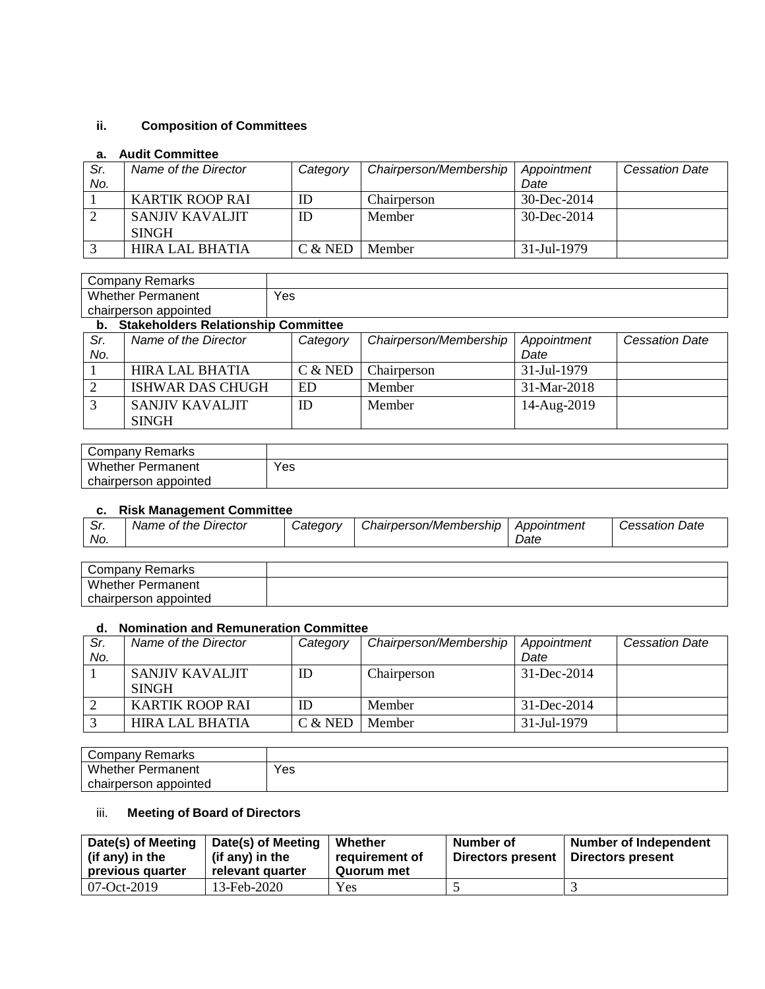## **ii. Composition of Committees**

### **a. Audit Committee**

| Sr. | Name of the Director | Category  | Chairperson/Membership | Appointment       | <b>Cessation Date</b> |
|-----|----------------------|-----------|------------------------|-------------------|-----------------------|
| No. |                      |           |                        | Date              |                       |
|     | KARTIK ROOP RAI      | ID        | Chairperson            | $30 - Dec - 2014$ |                       |
|     | SANJIV KAVALJIT      | ID        | Member                 | $30 - Dec - 2014$ |                       |
|     | <b>SINGH</b>         |           |                        |                   |                       |
|     | HIRA LAL BHATIA      | $C &$ NED | Member                 | 31-Jul-1979       |                       |

| Company Remarks          |     |
|--------------------------|-----|
| <b>Whether Permanent</b> | Yes |
| chairperson appointed    |     |

## **b. Stakeholders Relationship Committee**

| Sr. | Name of the Director    | Category | Chairperson/Membership | Appointment | <b>Cessation Date</b> |
|-----|-------------------------|----------|------------------------|-------------|-----------------------|
| No. |                         |          |                        | Date        |                       |
|     | <b>HIRA LAL BHATIA</b>  | C & NED  | Chairperson            | 31-Jul-1979 |                       |
|     | <b>ISHWAR DAS CHUGH</b> | ED       | Member                 | 31-Mar-2018 |                       |
|     | SANJIV KAVALJIT         | ID       | Member                 | 14-Aug-2019 |                       |
|     | <b>SINGH</b>            |          |                        |             |                       |

| Company Remarks          |     |
|--------------------------|-----|
| <b>Whether Permanent</b> | Yes |
| chairperson appointed    |     |

### **c. Risk Management Committee**

| .<br>. <i>ا</i> ت | Director<br>Name of the | <i>Categorv</i> | Chairperson/Membership | Appointment | Date<br><i>Cessation</i> |
|-------------------|-------------------------|-----------------|------------------------|-------------|--------------------------|
| No.               |                         |                 |                        | Date        |                          |

| Company<br>Remarks       |  |
|--------------------------|--|
| <b>Whether Permanent</b> |  |
| chairperson appointed    |  |

#### **d. Nomination and Remuneration Committee**

| Sr.<br>No. | Name of the Director            | Category  | Chairperson/Membership | Appointment<br>Date | <b>Cessation Date</b> |
|------------|---------------------------------|-----------|------------------------|---------------------|-----------------------|
|            | SANJIV KAVALJIT<br><b>SINGH</b> | ID        | Chairperson            | $31 - Dec-2014$     |                       |
|            | <b>KARTIK ROOP RAI</b>          |           | Member                 | $31 - Dec-2014$     |                       |
|            | <b>HIRA LAL BHATIA</b>          | $C &$ NED | Member                 | 31-Jul-1979         |                       |

| <b>Company Remarks</b>   |     |
|--------------------------|-----|
| <b>Whether Permanent</b> | Yes |
| chairperson appointed    |     |

## iii. **Meeting of Board of Directors**

| Date(s) of Meeting<br>(if any) in the<br>previous quarter | Date(s) of Meeting<br>(if any) in the<br>relevant quarter | Whether<br>requirement of<br>Quorum met | Number of<br>Directors present | Number of Independent<br>Directors present |
|-----------------------------------------------------------|-----------------------------------------------------------|-----------------------------------------|--------------------------------|--------------------------------------------|
| $07-Oct-2019$                                             | 13-Feb-2020                                               | Yes                                     |                                |                                            |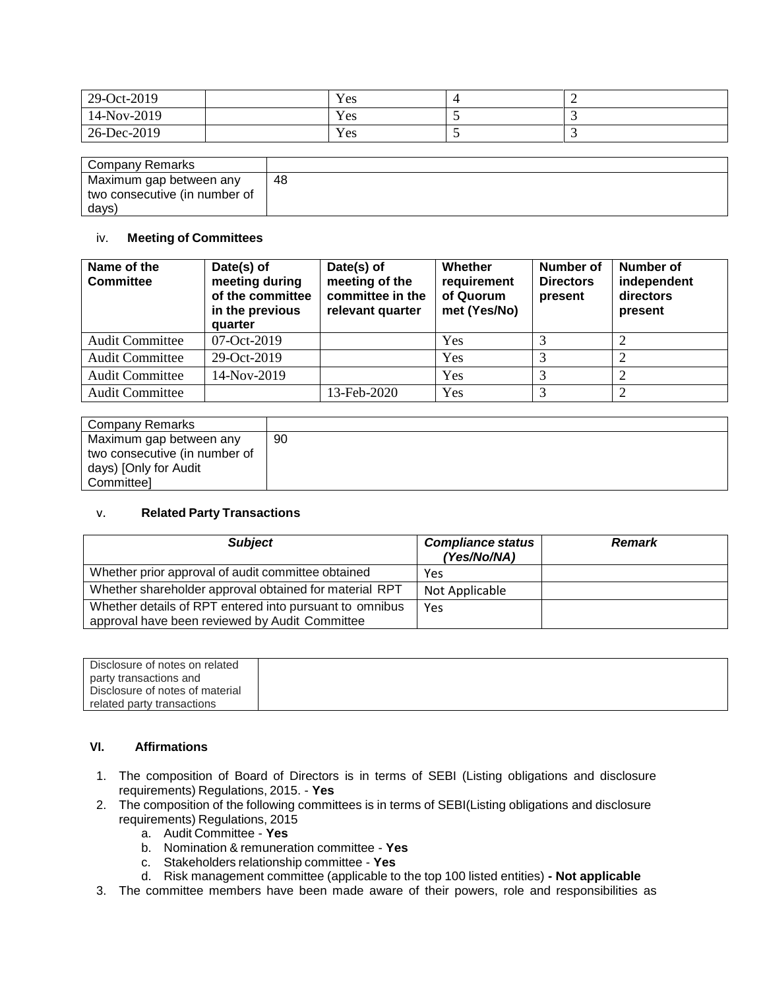| 29-Oct-2019 | Yes |  |
|-------------|-----|--|
| 14-Nov-2019 | Yes |  |
| 26-Dec-2019 | Yes |  |

| Company Remarks               |     |
|-------------------------------|-----|
| Maximum gap between any       | -48 |
| two consecutive (in number of |     |
| days)                         |     |

#### iv. **Meeting of Committees**

| Name of the<br><b>Committee</b> | Date(s) of<br>meeting during<br>of the committee<br>in the previous<br>quarter | Date(s) of<br>meeting of the<br>committee in the<br>relevant quarter | Whether<br>requirement<br>of Quorum<br>met (Yes/No) | <b>Number of</b><br><b>Directors</b><br>present | Number of<br>independent<br>directors<br>present |
|---------------------------------|--------------------------------------------------------------------------------|----------------------------------------------------------------------|-----------------------------------------------------|-------------------------------------------------|--------------------------------------------------|
| <b>Audit Committee</b>          | 07-Oct-2019                                                                    |                                                                      | Yes                                                 |                                                 |                                                  |
| <b>Audit Committee</b>          | 29-Oct-2019                                                                    |                                                                      | Yes                                                 |                                                 |                                                  |
| <b>Audit Committee</b>          | 14-Nov-2019                                                                    |                                                                      | Yes                                                 | $\mathbf{r}$                                    |                                                  |
| <b>Audit Committee</b>          |                                                                                | 13-Feb-2020                                                          | Yes                                                 | ⌒                                               | ⌒                                                |

| Company Remarks               |    |
|-------------------------------|----|
| Maximum gap between any       | 90 |
| two consecutive (in number of |    |
| days) [Only for Audit         |    |
| Committeel                    |    |

### v. **Related Party Transactions**

| <b>Subject</b>                                                                                            | <b>Compliance status</b><br>(Yes/No/NA) | <b>Remark</b> |
|-----------------------------------------------------------------------------------------------------------|-----------------------------------------|---------------|
| Whether prior approval of audit committee obtained                                                        | Yes                                     |               |
| Whether shareholder approval obtained for material RPT                                                    | Not Applicable                          |               |
| Whether details of RPT entered into pursuant to omnibus<br>approval have been reviewed by Audit Committee | Yes                                     |               |

| Disclosure of notes on related  |  |
|---------------------------------|--|
| party transactions and          |  |
| Disclosure of notes of material |  |
| related party transactions      |  |

#### **VI. Affirmations**

- 1. The composition of Board of Directors is in terms of SEBI (Listing obligations and disclosure requirements) Regulations, 2015. - **Yes**
- 2. The composition of the following committees is in terms of SEBI(Listing obligations and disclosure requirements) Regulations, 2015
	- a. Audit Committee **Yes**
	- b. Nomination & remuneration committee **Yes**
	- c. Stakeholders relationship committee **Yes**
	- d. Risk management committee (applicable to the top 100 listed entities) **- Not applicable**
- 3. The committee members have been made aware of their powers, role and responsibilities as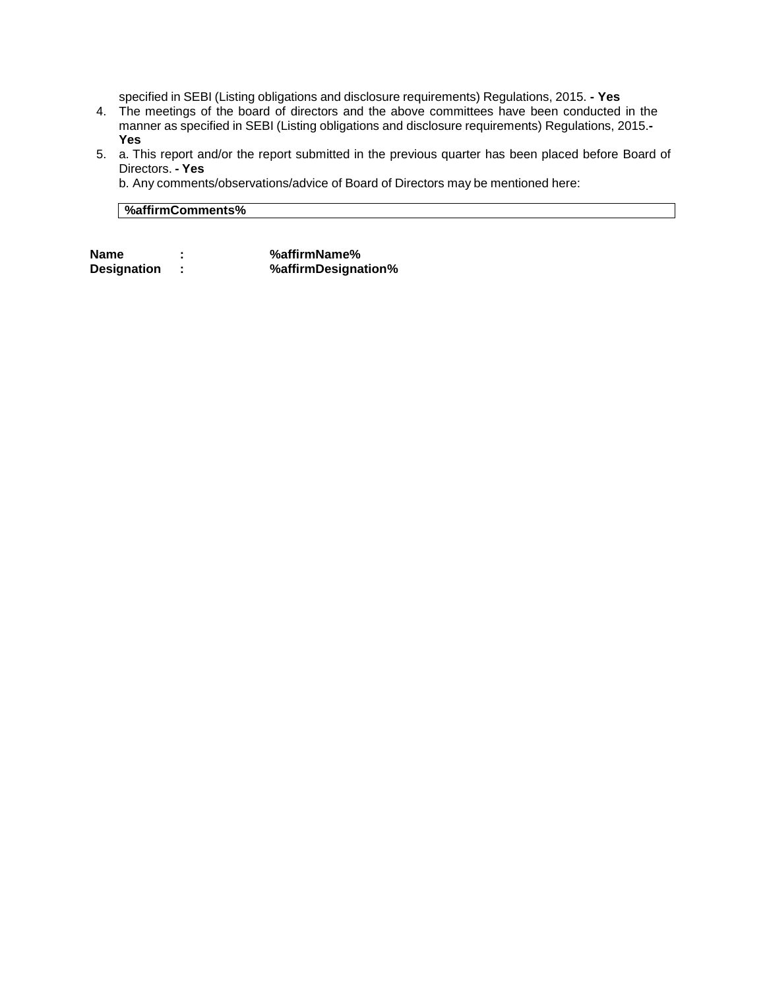specified in SEBI (Listing obligations and disclosure requirements) Regulations, 2015. **- Yes**

- 4. The meetings of the board of directors and the above committees have been conducted in the manner as specified in SEBI (Listing obligations and disclosure requirements) Regulations, 2015.**- Yes**
- 5. a. This report and/or the report submitted in the previous quarter has been placed before Board of Directors. **- Yes**

b. Any comments/observations/advice of Board of Directors may be mentioned here:

### **%affirmComments%**

| Name               | %affirmName%        |
|--------------------|---------------------|
| <b>Designation</b> | %affirmDesignation% |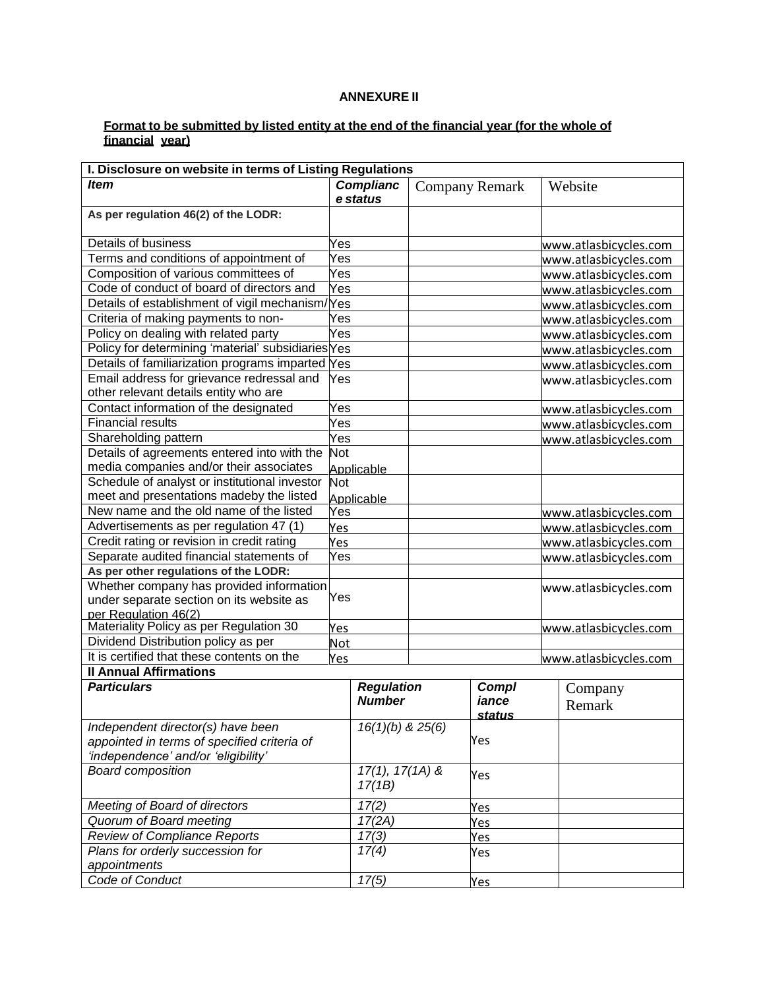### **ANNEXURE II**

#### **Format to be submitted by listed entity at the end of the financial year (for the whole of financial year)**

| I. Disclosure on website in terms of Listing Regulations |            |                      |  |                |                       |
|----------------------------------------------------------|------------|----------------------|--|----------------|-----------------------|
| <b>Item</b>                                              |            | <b>Complianc</b>     |  | Company Remark | Website               |
|                                                          |            | e status             |  |                |                       |
| As per regulation 46(2) of the LODR:                     |            |                      |  |                |                       |
|                                                          |            |                      |  |                |                       |
| Details of business                                      | Yes        |                      |  |                | www.atlasbicycles.com |
| Terms and conditions of appointment of                   | Yes        |                      |  |                | www.atlasbicycles.com |
| Composition of various committees of                     | Yes        |                      |  |                | www.atlasbicycles.com |
| Code of conduct of board of directors and                | Yes        |                      |  |                | www.atlasbicycles.com |
| Details of establishment of vigil mechanism/Yes          |            |                      |  |                | www.atlasbicycles.com |
| Criteria of making payments to non-                      | Yes        |                      |  |                | www.atlasbicycles.com |
| Policy on dealing with related party                     | Yes        |                      |  |                | www.atlasbicycles.com |
| Policy for determining 'material' subsidiaries Yes       |            |                      |  |                | www.atlasbicycles.com |
| Details of familiarization programs imparted Yes         |            |                      |  |                | www.atlasbicycles.com |
| Email address for grievance redressal and                | Yes        |                      |  |                | www.atlasbicycles.com |
| other relevant details entity who are                    |            |                      |  |                |                       |
| Contact information of the designated                    | Yes        |                      |  |                | www.atlasbicycles.com |
| <b>Financial results</b>                                 | Yes        |                      |  |                | www.atlasbicycles.com |
| Shareholding pattern                                     | Yes        |                      |  |                | www.atlasbicycles.com |
| Details of agreements entered into with the              | <b>Not</b> |                      |  |                |                       |
| media companies and/or their associates                  |            | Applicable           |  |                |                       |
| Schedule of analyst or institutional investor            | <b>Not</b> |                      |  |                |                       |
| meet and presentations madeby the listed                 |            | Applicable           |  |                |                       |
| New name and the old name of the listed                  | Yes        |                      |  |                | www.atlasbicycles.com |
| Advertisements as per regulation 47 (1)                  | Yes        |                      |  |                | www.atlasbicycles.com |
| Credit rating or revision in credit rating               | Yes        |                      |  |                | www.atlasbicycles.com |
| Separate audited financial statements of                 | Yes        |                      |  |                | www.atlasbicycles.com |
| As per other regulations of the LODR:                    |            |                      |  |                |                       |
| Whether company has provided information                 |            |                      |  |                | www.atlasbicycles.com |
| under separate section on its website as                 | Yes        |                      |  |                |                       |
| per Regulation 46(2)                                     |            |                      |  |                |                       |
| Materiality Policy as per Regulation 30                  | Yes        |                      |  |                | www.atlasbicycles.com |
| Dividend Distribution policy as per                      | <b>Not</b> |                      |  |                |                       |
| It is certified that these contents on the               | Yes        |                      |  |                | www.atlasbicycles.com |
| <b>Il Annual Affirmations</b>                            |            |                      |  |                |                       |
| <b>Particulars</b>                                       |            | <b>Regulation</b>    |  | <b>Compl</b>   | Company               |
|                                                          |            | <b>Number</b>        |  | iance          | Remark                |
|                                                          |            |                      |  | status         |                       |
| Independent director(s) have been                        |            | $16(1)(b)$ & $25(6)$ |  |                |                       |
| appointed in terms of specified criteria of              |            |                      |  | Yes            |                       |
| 'independence' and/or 'eligibility'                      |            |                      |  |                |                       |
| <b>Board composition</b>                                 |            | $17(1), 17(1A)$ &    |  | Yes            |                       |
|                                                          |            | 17(1B)               |  |                |                       |
| Meeting of Board of directors                            |            | 17(2)                |  | Yes            |                       |
| Quorum of Board meeting                                  |            | 17(2A)               |  | Yes            |                       |
| Review of Compliance Reports                             |            | 17(3)                |  | Yes            |                       |
| Plans for orderly succession for                         |            | 17(4)                |  | Yes            |                       |
| appointments                                             |            |                      |  |                |                       |
| Code of Conduct                                          |            | 17(5)                |  | <u>Yes</u>     |                       |
|                                                          |            |                      |  |                |                       |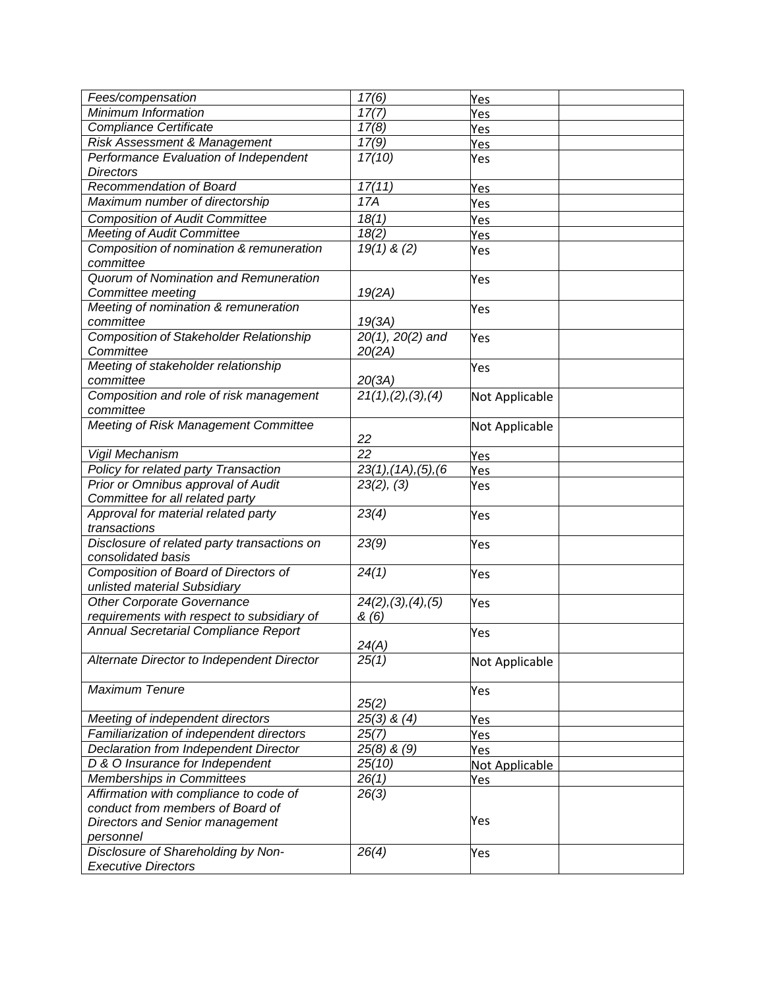| Fees/compensation                              | 17(6)                      | Yes            |  |
|------------------------------------------------|----------------------------|----------------|--|
| Minimum Information                            | 17(7)                      | Yes            |  |
| Compliance Certificate                         | 17(8)                      | Yes            |  |
| Risk Assessment & Management                   | 17(9)                      | Yes            |  |
| Performance Evaluation of Independent          | 17(10)                     | Yes            |  |
| <b>Directors</b>                               |                            |                |  |
| Recommendation of Board                        | 17(11)                     | Yes            |  |
| Maximum number of directorship                 | 17A                        | Yes            |  |
| <b>Composition of Audit Committee</b>          | 18(1)                      | Yes            |  |
| <b>Meeting of Audit Committee</b>              | 18(2)                      | Yes            |  |
| Composition of nomination & remuneration       | $19(1)$ & (2)              | Yes            |  |
| committee                                      |                            |                |  |
| Quorum of Nomination and Remuneration          |                            | Yes            |  |
| Committee meeting                              | 19(2A)                     |                |  |
| Meeting of nomination & remuneration           |                            | Yes            |  |
| committee                                      | 19(3A)                     |                |  |
| <b>Composition of Stakeholder Relationship</b> | $20(1), 20(2)$ and         | Yes            |  |
| Committee                                      | 20(2A)                     |                |  |
| Meeting of stakeholder relationship            |                            | Yes            |  |
| committee                                      | 20(3A)                     |                |  |
| Composition and role of risk management        | 21(1), (2), (3), (4)       | Not Applicable |  |
| committee                                      |                            |                |  |
| Meeting of Risk Management Committee           |                            | Not Applicable |  |
|                                                | 22                         |                |  |
| Vigil Mechanism                                | $\overline{22}$            | Yes            |  |
| Policy for related party Transaction           | 23(1), (1A), (5), (6)      | Yes            |  |
| Prior or Omnibus approval of Audit             | 23(2), (3)                 | Yes            |  |
| Committee for all related party                |                            |                |  |
| Approval for material related party            | $\overline{2}3(4)$         | Yes            |  |
| transactions                                   |                            |                |  |
| Disclosure of related party transactions on    | 23(9)                      | Yes            |  |
| consolidated basis                             |                            |                |  |
| Composition of Board of Directors of           | 24(1)                      | Yes            |  |
| unlisted material Subsidiary                   |                            |                |  |
| <b>Other Corporate Governance</b>              | 24(2), (3), (4), (5)       | Yes            |  |
| requirements with respect to subsidiary of     | &(6)                       |                |  |
| Annual Secretarial Compliance Report           |                            | Yes            |  |
|                                                | 24(A)                      |                |  |
| Alternate Director to Independent Director     | 25(1)                      | Not Applicable |  |
| <b>Maximum Tenure</b>                          |                            |                |  |
|                                                | 25(2)                      | Yes            |  |
| Meeting of independent directors               | $25(3)$ & $\overline{(4)}$ | <b>Yes</b>     |  |
| Familiarization of independent directors       | 25(7)                      | Yes            |  |
| Declaration from Independent Director          | $25(8)$ & $(9)$            | Yes            |  |
| D & O Insurance for Independent                | 25(10)                     |                |  |
| Memberships in Committees                      | 26(1)                      | Not Applicable |  |
| Affirmation with compliance to code of         | 26(3)                      | Yes            |  |
| conduct from members of Board of               |                            |                |  |
| Directors and Senior management                |                            | Yes            |  |
| personnel                                      |                            |                |  |
| Disclosure of Shareholding by Non-             | 26(4)                      | Yes            |  |
| <b>Executive Directors</b>                     |                            |                |  |
|                                                |                            |                |  |